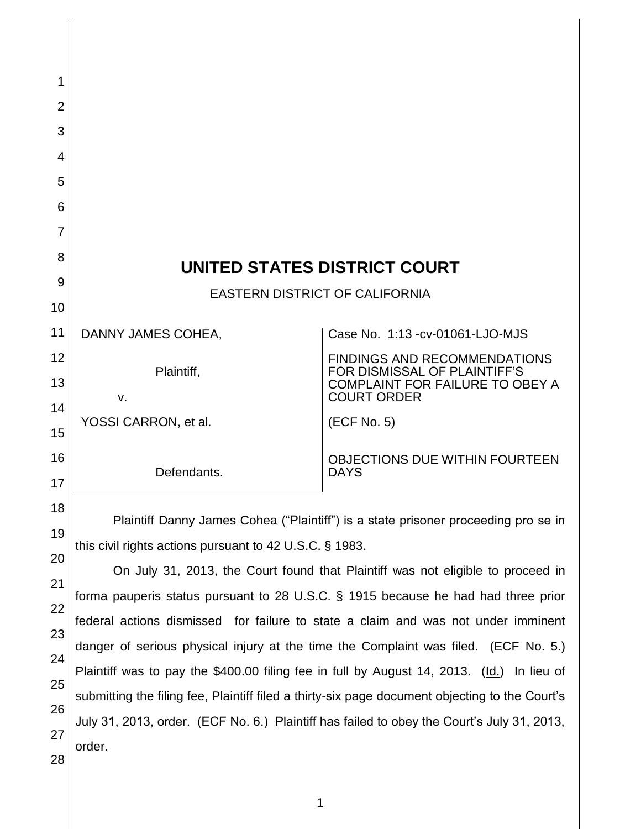| 1              |                                                                                    |                                                                     |
|----------------|------------------------------------------------------------------------------------|---------------------------------------------------------------------|
| $\overline{2}$ |                                                                                    |                                                                     |
| 3              |                                                                                    |                                                                     |
| 4              |                                                                                    |                                                                     |
| 5              |                                                                                    |                                                                     |
| 6              |                                                                                    |                                                                     |
| $\overline{7}$ |                                                                                    |                                                                     |
| 8              | UNITED STATES DISTRICT COURT                                                       |                                                                     |
| 9              | EASTERN DISTRICT OF CALIFORNIA                                                     |                                                                     |
| 10             |                                                                                    |                                                                     |
| 11             | DANNY JAMES COHEA,                                                                 | Case No. 1:13 - cv-01061-LJO-MJS                                    |
| 12             | Plaintiff,                                                                         | <b>FINDINGS AND RECOMMENDATIONS</b><br>FOR DISMISSAL OF PLAINTIFF'S |
| 13             | V.                                                                                 | COMPLAINT FOR FAILURE TO OBEY A<br><b>COURT ORDER</b>               |
| 14             | YOSSI CARRON, et al.                                                               | (ECF No. 5)                                                         |
| 15             |                                                                                    |                                                                     |
| 16             | Defendants.                                                                        | <b>OBJECTIONS DUE WITHIN FOURTEEN</b><br><b>DAYS</b>                |
| 17             |                                                                                    |                                                                     |
| 18             | Plaintiff Danny James Cohea ("Plaintiff") is a state prisoner proceeding pro se in |                                                                     |
| 19             | this civil rights actions pursuant to 42 U.S.C. § 1983.                            |                                                                     |
| 20             | On July 31, 2013, the Court found that Plaintiff was not eligible to proceed in    |                                                                     |

22 23 24 25 26 27 28 forma pauperis status pursuant to 28 U.S.C. § 1915 because he had had three prior federal actions dismissed for failure to state a claim and was not under imminent danger of serious physical injury at the time the Complaint was filed. (ECF No. 5.) Plaintiff was to pay the \$400.00 filing fee in full by August 14, 2013. (Id.) In lieu of submitting the filing fee, Plaintiff filed a thirty-six page document objecting to the Court's July 31, 2013, order. (ECF No. 6.) Plaintiff has failed to obey the Court's July 31, 2013, order.

21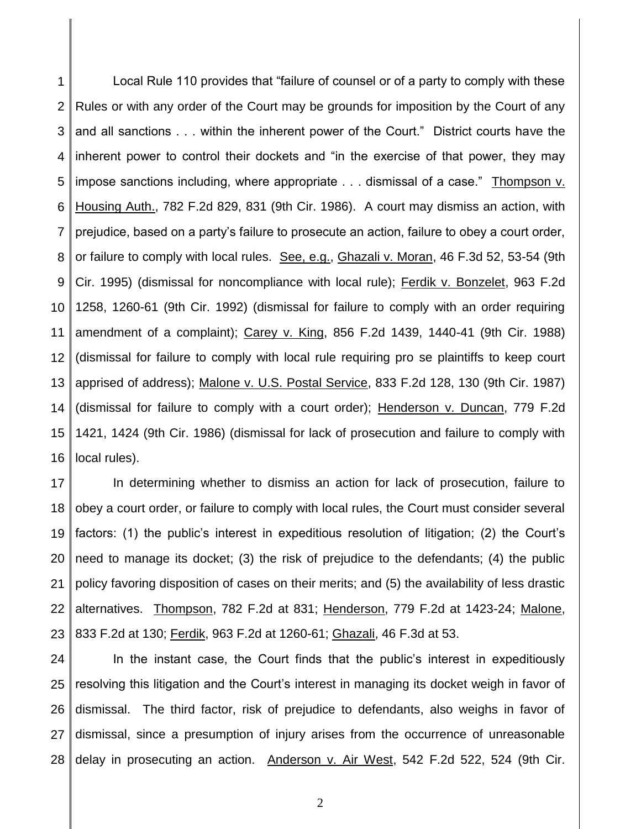1 2 3 4 5 6 7 8 9 10 11 12 13 14 15 16 Local Rule 110 provides that "failure of counsel or of a party to comply with these Rules or with any order of the Court may be grounds for imposition by the Court of any and all sanctions . . . within the inherent power of the Court." District courts have the inherent power to control their dockets and "in the exercise of that power, they may impose sanctions including, where appropriate . . . dismissal of a case." Thompson v. Housing Auth., 782 F.2d 829, 831 (9th Cir. 1986). A court may dismiss an action, with prejudice, based on a party's failure to prosecute an action, failure to obey a court order, or failure to comply with local rules. See, e.g., Ghazali v. Moran, 46 F.3d 52, 53-54 (9th Cir. 1995) (dismissal for noncompliance with local rule); Ferdik v. Bonzelet, 963 F.2d 1258, 1260-61 (9th Cir. 1992) (dismissal for failure to comply with an order requiring amendment of a complaint); Carey v. King, 856 F.2d 1439, 1440-41 (9th Cir. 1988) (dismissal for failure to comply with local rule requiring pro se plaintiffs to keep court apprised of address); Malone v. U.S. Postal Service, 833 F.2d 128, 130 (9th Cir. 1987) (dismissal for failure to comply with a court order); Henderson v. Duncan, 779 F.2d 1421, 1424 (9th Cir. 1986) (dismissal for lack of prosecution and failure to comply with local rules).

17 18 19 20 21 22 23 In determining whether to dismiss an action for lack of prosecution, failure to obey a court order, or failure to comply with local rules, the Court must consider several factors: (1) the public's interest in expeditious resolution of litigation; (2) the Court's need to manage its docket; (3) the risk of prejudice to the defendants; (4) the public policy favoring disposition of cases on their merits; and (5) the availability of less drastic alternatives. Thompson, 782 F.2d at 831; Henderson, 779 F.2d at 1423-24; Malone, 833 F.2d at 130; Ferdik, 963 F.2d at 1260-61; Ghazali, 46 F.3d at 53.

24 25 26 27 28 In the instant case, the Court finds that the public's interest in expeditiously resolving this litigation and the Court's interest in managing its docket weigh in favor of dismissal. The third factor, risk of prejudice to defendants, also weighs in favor of dismissal, since a presumption of injury arises from the occurrence of unreasonable delay in prosecuting an action. Anderson v. Air West, 542 F.2d 522, 524 (9th Cir.

2